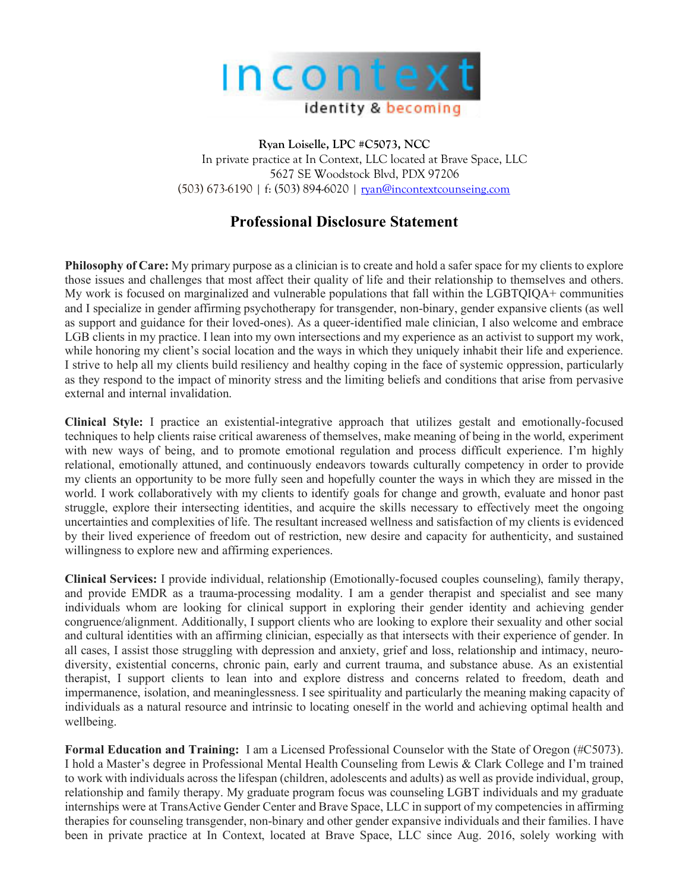

**Ryan Loiselle, LPC #C5073, NCC** In private practice at In Context, LLC located at Brave Space, LLC 5627 SE Woodstock Blvd, PDX 97206 (503) 673-6190 | f: (503) 894-6020 | ryan@incontextcounseing.com

## **Professional Disclosure Statement**

**Philosophy of Care:** My primary purpose as a clinician is to create and hold a safer space for my clients to explore those issues and challenges that most affect their quality of life and their relationship to themselves and others. My work is focused on marginalized and vulnerable populations that fall within the LGBTQIQA+ communities and I specialize in gender affirming psychotherapy for transgender, non-binary, gender expansive clients (as well as support and guidance for their loved-ones). As a queer-identified male clinician, I also welcome and embrace LGB clients in my practice. I lean into my own intersections and my experience as an activist to support my work, while honoring my client's social location and the ways in which they uniquely inhabit their life and experience. I strive to help all my clients build resiliency and healthy coping in the face of systemic oppression, particularly as they respond to the impact of minority stress and the limiting beliefs and conditions that arise from pervasive external and internal invalidation.

**Clinical Style:** I practice an existential-integrative approach that utilizes gestalt and emotionally-focused techniques to help clients raise critical awareness of themselves, make meaning of being in the world, experiment with new ways of being, and to promote emotional regulation and process difficult experience. I'm highly relational, emotionally attuned, and continuously endeavors towards culturally competency in order to provide my clients an opportunity to be more fully seen and hopefully counter the ways in which they are missed in the world. I work collaboratively with my clients to identify goals for change and growth, evaluate and honor past struggle, explore their intersecting identities, and acquire the skills necessary to effectively meet the ongoing uncertainties and complexities of life. The resultant increased wellness and satisfaction of my clients is evidenced by their lived experience of freedom out of restriction, new desire and capacity for authenticity, and sustained willingness to explore new and affirming experiences.

**Clinical Services:** I provide individual, relationship (Emotionally-focused couples counseling), family therapy, and provide EMDR as a trauma-processing modality. I am a gender therapist and specialist and see many individuals whom are looking for clinical support in exploring their gender identity and achieving gender congruence/alignment. Additionally, I support clients who are looking to explore their sexuality and other social and cultural identities with an affirming clinician, especially as that intersects with their experience of gender. In all cases, I assist those struggling with depression and anxiety, grief and loss, relationship and intimacy, neurodiversity, existential concerns, chronic pain, early and current trauma, and substance abuse. As an existential therapist, I support clients to lean into and explore distress and concerns related to freedom, death and impermanence, isolation, and meaninglessness. I see spirituality and particularly the meaning making capacity of individuals as a natural resource and intrinsic to locating oneself in the world and achieving optimal health and wellbeing.

**Formal Education and Training:** I am a Licensed Professional Counselor with the State of Oregon (#C5073). I hold a Master's degree in Professional Mental Health Counseling from Lewis & Clark College and I'm trained to work with individuals across the lifespan (children, adolescents and adults) as well as provide individual, group, relationship and family therapy. My graduate program focus was counseling LGBT individuals and my graduate internships were at TransActive Gender Center and Brave Space, LLC in support of my competencies in affirming therapies for counseling transgender, non-binary and other gender expansive individuals and their families. I have been in private practice at In Context, located at Brave Space, LLC since Aug. 2016, solely working with